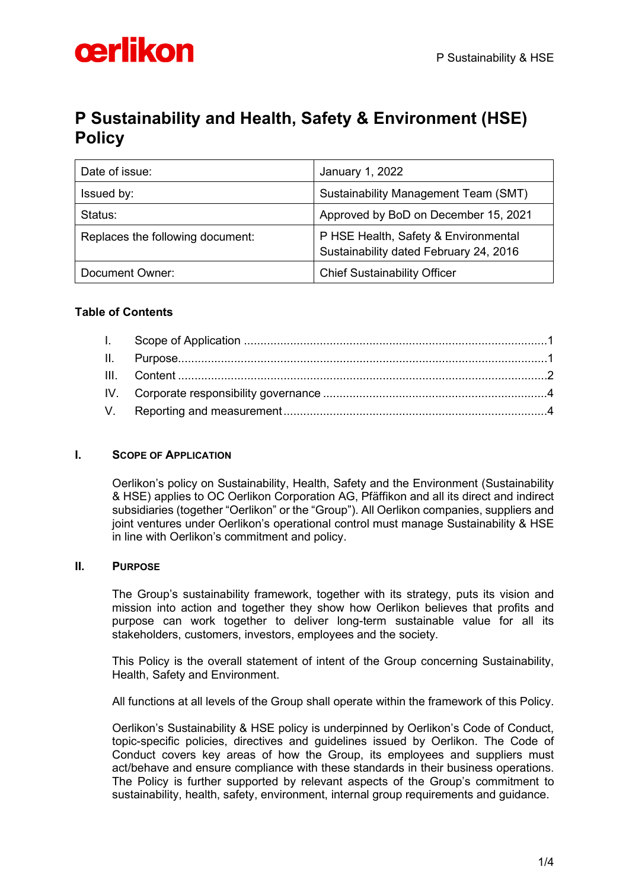# oerlikon

# **P Sustainability and Health, Safety & Environment (HSE) Policy**

| Date of issue:                   | January 1, 2022                                                                |
|----------------------------------|--------------------------------------------------------------------------------|
| Issued by:                       | Sustainability Management Team (SMT)                                           |
| Status:                          | Approved by BoD on December 15, 2021                                           |
| Replaces the following document: | P HSE Health, Safety & Environmental<br>Sustainability dated February 24, 2016 |
| Document Owner:                  | <b>Chief Sustainability Officer</b>                                            |

## **Table of Contents**

### <span id="page-0-0"></span>**I. SCOPE OF APPLICATION**

Oerlikon's policy on Sustainability, Health, Safety and the Environment (Sustainability & HSE) applies to OC Oerlikon Corporation AG, Pfäffikon and all its direct and indirect subsidiaries (together "Oerlikon" or the "Group"). All Oerlikon companies, suppliers and joint ventures under Oerlikon's operational control must manage Sustainability & HSE in line with Oerlikon's commitment and policy.

### <span id="page-0-1"></span>**II. PURPOSE**

The Group's sustainability framework, together with its strategy, puts its vision and mission into action and together they show how Oerlikon believes that profits and purpose can work together to deliver long-term sustainable value for all its stakeholders, customers, investors, employees and the society.

This Policy is the overall statement of intent of the Group concerning Sustainability, Health, Safety and Environment.

All functions at all levels of the Group shall operate within the framework of this Policy.

Oerlikon's Sustainability & HSE policy is underpinned by Oerlikon's Code of Conduct, topic-specific policies, directives and guidelines issued by Oerlikon. The Code of Conduct covers key areas of how the Group, its employees and suppliers must act/behave and ensure compliance with these standards in their business operations. The Policy is further supported by relevant aspects of the Group's commitment to sustainability, health, safety, environment, internal group requirements and guidance.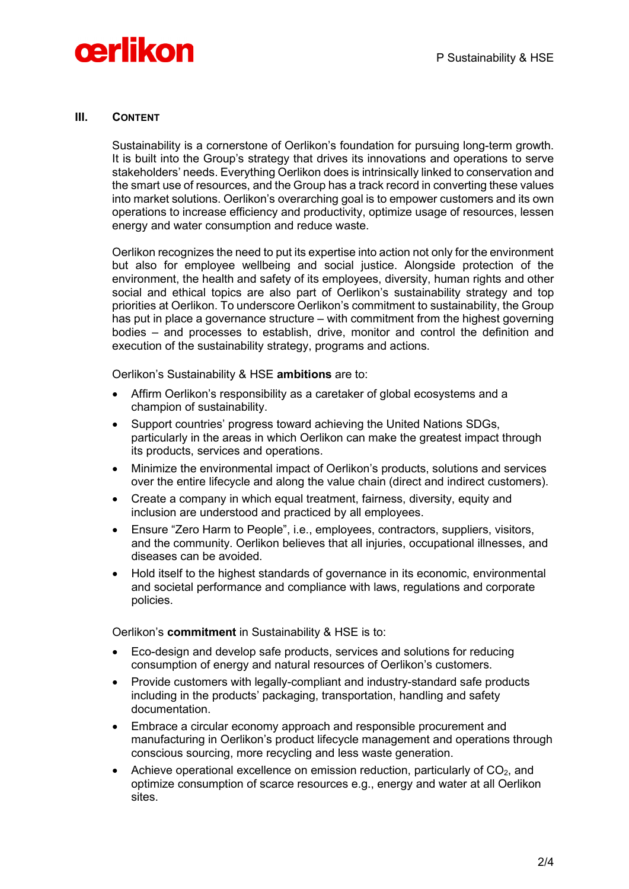

#### <span id="page-1-0"></span>**III. CONTENT**

Sustainability is a cornerstone of Oerlikon's foundation for pursuing long-term growth. It is built into the Group's strategy that drives its innovations and operations to serve stakeholders' needs. Everything Oerlikon does is intrinsically linked to conservation and the smart use of resources, and the Group has a track record in converting these values into market solutions. Oerlikon's overarching goal is to empower customers and its own operations to increase efficiency and productivity, optimize usage of resources, lessen energy and water consumption and reduce waste.

Oerlikon recognizes the need to put its expertise into action not only for the environment but also for employee wellbeing and social justice. Alongside protection of the environment, the health and safety of its employees, diversity, human rights and other social and ethical topics are also part of Oerlikon's sustainability strategy and top priorities at Oerlikon. To underscore Oerlikon's commitment to sustainability, the Group has put in place a governance structure – with commitment from the highest governing bodies – and processes to establish, drive, monitor and control the definition and execution of the sustainability strategy, programs and actions.

Oerlikon's Sustainability & HSE **ambitions** are to:

- Affirm Oerlikon's responsibility as a caretaker of global ecosystems and a champion of sustainability.
- Support countries' progress toward achieving the United Nations SDGs, particularly in the areas in which Oerlikon can make the greatest impact through its products, services and operations.
- Minimize the environmental impact of Oerlikon's products, solutions and services over the entire lifecycle and along the value chain (direct and indirect customers).
- Create a company in which equal treatment, fairness, diversity, equity and inclusion are understood and practiced by all employees.
- Ensure "Zero Harm to People", i.e., employees, contractors, suppliers, visitors, and the community. Oerlikon believes that all injuries, occupational illnesses, and diseases can be avoided.
- Hold itself to the highest standards of governance in its economic, environmental and societal performance and compliance with laws, regulations and corporate policies.

Oerlikon's **commitment** in Sustainability & HSE is to:

- Eco-design and develop safe products, services and solutions for reducing consumption of energy and natural resources of Oerlikon's customers.
- Provide customers with legally-compliant and industry-standard safe products including in the products' packaging, transportation, handling and safety documentation.
- Embrace a circular economy approach and responsible procurement and manufacturing in Oerlikon's product lifecycle management and operations through conscious sourcing, more recycling and less waste generation.
- Achieve operational excellence on emission reduction, particularly of  $CO<sub>2</sub>$ , and optimize consumption of scarce resources e.g., energy and water at all Oerlikon sites.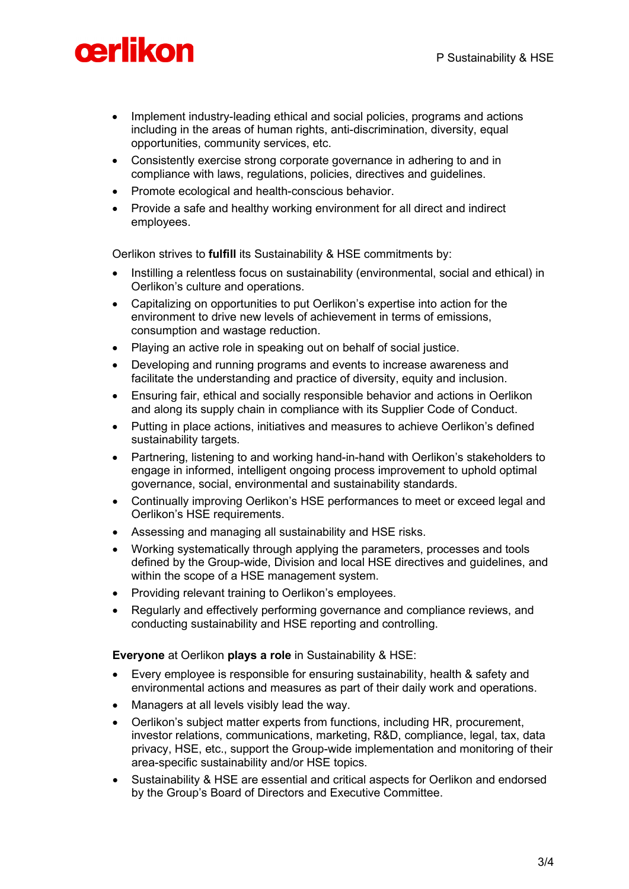# cerlikon

- Implement industry-leading ethical and social policies, programs and actions including in the areas of human rights, anti-discrimination, diversity, equal opportunities, community services, etc.
- Consistently exercise strong corporate governance in adhering to and in compliance with laws, regulations, policies, directives and guidelines.
- Promote ecological and health-conscious behavior.
- Provide a safe and healthy working environment for all direct and indirect employees.

Oerlikon strives to **fulfill** its Sustainability & HSE commitments by:

- Instilling a relentless focus on sustainability (environmental, social and ethical) in Oerlikon's culture and operations.
- Capitalizing on opportunities to put Oerlikon's expertise into action for the environment to drive new levels of achievement in terms of emissions, consumption and wastage reduction.
- Playing an active role in speaking out on behalf of social justice.
- Developing and running programs and events to increase awareness and facilitate the understanding and practice of diversity, equity and inclusion.
- Ensuring fair, ethical and socially responsible behavior and actions in Oerlikon and along its supply chain in compliance with its Supplier Code of Conduct.
- Putting in place actions, initiatives and measures to achieve Oerlikon's defined sustainability targets.
- Partnering, listening to and working hand-in-hand with Oerlikon's stakeholders to engage in informed, intelligent ongoing process improvement to uphold optimal governance, social, environmental and sustainability standards.
- Continually improving Oerlikon's HSE performances to meet or exceed legal and Oerlikon's HSE requirements.
- Assessing and managing all sustainability and HSE risks.
- Working systematically through applying the parameters, processes and tools defined by the Group-wide, Division and local HSE directives and guidelines, and within the scope of a HSE management system.
- Providing relevant training to Oerlikon's employees.
- Regularly and effectively performing governance and compliance reviews, and conducting sustainability and HSE reporting and controlling.

**Everyone** at Oerlikon **plays a role** in Sustainability & HSE:

- Every employee is responsible for ensuring sustainability, health & safety and environmental actions and measures as part of their daily work and operations.
- Managers at all levels visibly lead the way.
- Oerlikon's subject matter experts from functions, including HR, procurement, investor relations, communications, marketing, R&D, compliance, legal, tax, data privacy, HSE, etc., support the Group-wide implementation and monitoring of their area-specific sustainability and/or HSE topics.
- Sustainability & HSE are essential and critical aspects for Oerlikon and endorsed by the Group's Board of Directors and Executive Committee.